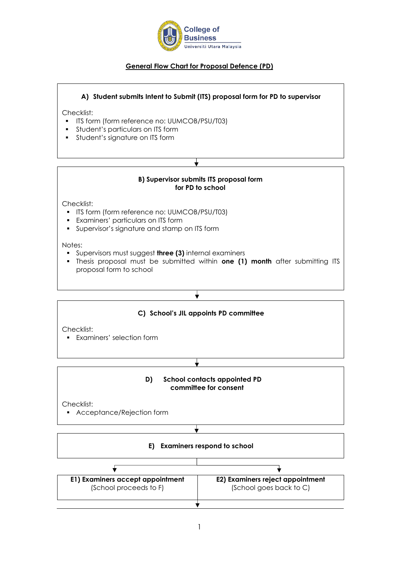

# **General Flow Chart for Proposal Defence (PD)**

## **A) Student submits Intent to Submit (ITS) proposal form for PD to supervisor**

Checklist:

- **ITS form (form reference no: UUMCOB/PSU/T03)**
- **•** Student's particulars on ITS form
- **•** Student's signature on ITS form

## **B) Supervisor submits ITS proposal form for PD to school**

Checklist:

- ITS form (form reference no: UUMCOB/PSU/T03)
- Examiners' particulars on ITS form
- **•** Supervisor's signature and stamp on ITS form

Notes:

- Supervisors must suggest **three (3)** internal examiners
- Thesis proposal must be submitted within **one (1) month** after submitting ITS proposal form to school

## **C) School's JIL appoints PD committee**

Checklist:

▪ Examiners' selection form

# **D) School contacts appointed PD committee for consent**

Checklist:

▪ Acceptance/Rejection form

### **E) Examiners respond to school**

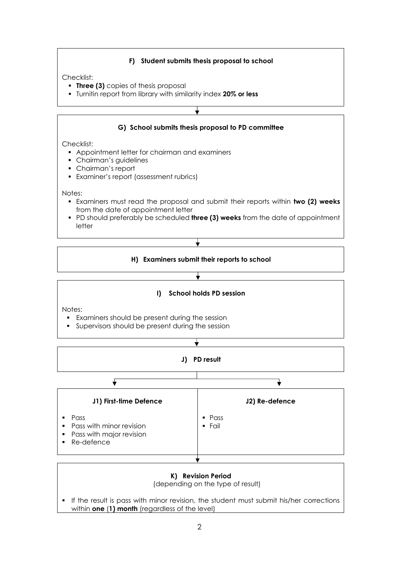## **F) Student submits thesis proposal to school**

Checklist:

- **Three (3)** copies of thesis proposal
- Turnitin report from library with similarity index **20% or less**

# **G) School submits thesis proposal to PD committee**

Checklist:

- Appointment letter for chairman and examiners
- **•** Chairman's guidelines
- Chairman's report
- Examiner's report (assessment rubrics)

Notes:

- Examiners must read the proposal and submit their reports within **two (2) weeks** from the date of appointment letter
- PD should preferably be scheduled **three (3) weeks** from the date of appointment letter

### **H) Examiners submit their reports to school**

## ╈

╈

### **I) School holds PD session**

Notes:

- Examiners should be present during the session
- **•** Supervisors should be present during the session



### **K) Revision Period**

(depending on the type of result)

▪ If the result is pass with minor revision, the student must submit his/her corrections within **one** (**1) month** (regardless of the level)